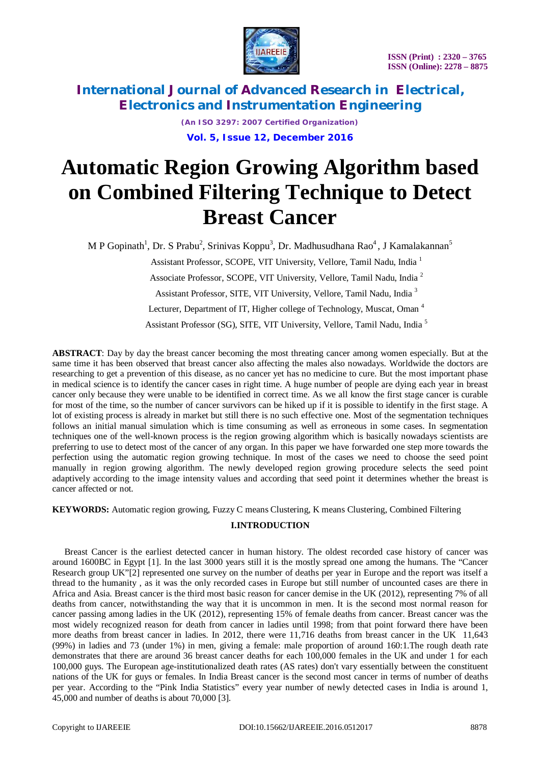

> *(An ISO 3297: 2007 Certified Organization)* **Vol. 5, Issue 12, December 2016**

# **Automatic Region Growing Algorithm based on Combined Filtering Technique to Detect Breast Cancer**

M P Gopinath<sup>1</sup>, Dr. S Prabu<sup>2</sup>, Srinivas Koppu<sup>3</sup>, Dr. Madhusudhana Rao<sup>4</sup>, J Kamalakannan<sup>5</sup>

Assistant Professor, SCOPE, VIT University, Vellore, Tamil Nadu, India <sup>1</sup>

Associate Professor, SCOPE, VIT University, Vellore, Tamil Nadu, India <sup>2</sup>

Assistant Professor, SITE, VIT University, Vellore, Tamil Nadu, India <sup>3</sup>

Lecturer, Department of IT, Higher college of Technology, Muscat, Oman<sup>4</sup>

Assistant Professor (SG), SITE, VIT University, Vellore, Tamil Nadu, India <sup>5</sup>

**ABSTRACT**: Day by day the breast cancer becoming the most threating cancer among women especially. But at the same time it has been observed that breast cancer also affecting the males also nowadays. Worldwide the doctors are researching to get a prevention of this disease, as no cancer yet has no medicine to cure. But the most important phase in medical science is to identify the cancer cases in right time. A huge number of people are dying each year in breast cancer only because they were unable to be identified in correct time. As we all know the first stage cancer is curable for most of the time, so the number of cancer survivors can be hiked up if it is possible to identify in the first stage. A lot of existing process is already in market but still there is no such effective one. Most of the segmentation techniques follows an initial manual simulation which is time consuming as well as erroneous in some cases. In segmentation techniques one of the well-known process is the region growing algorithm which is basically nowadays scientists are preferring to use to detect most of the cancer of any organ. In this paper we have forwarded one step more towards the perfection using the automatic region growing technique. In most of the cases we need to choose the seed point manually in region growing algorithm. The newly developed region growing procedure selects the seed point adaptively according to the image intensity values and according that seed point it determines whether the breast is cancer affected or not.

**KEYWORDS:** Automatic region growing, Fuzzy C means Clustering, K means Clustering, Combined Filtering

## **I.INTRODUCTION**

Breast Cancer is the earliest detected cancer in human history. The oldest recorded case history of cancer was around 1600BC in Egypt [1]. In the last 3000 years still it is the mostly spread one among the humans. The "Cancer Research group UK"[2] represented one survey on the number of deaths per year in Europe and the report was itself a thread to the humanity , as it was the only recorded cases in Europe but still number of uncounted cases are there in Africa and Asia. Breast cancer is the third most basic reason for cancer demise in the UK (2012), representing 7% of all deaths from cancer, notwithstanding the way that it is uncommon in men. It is the second most normal reason for cancer passing among ladies in the UK (2012), representing 15% of female deaths from cancer. Breast cancer was the most widely recognized reason for death from cancer in ladies until 1998; from that point forward there have been more deaths from breast cancer in ladies. In 2012, there were 11,716 deaths from breast cancer in the UK 11,643 (99%) in ladies and 73 (under 1%) in men, giving a female: male proportion of around 160:1.The rough death rate demonstrates that there are around 36 breast cancer deaths for each 100,000 females in the UK and under 1 for each 100,000 guys. The European age-institutionalized death rates (AS rates) don't vary essentially between the constituent nations of the UK for guys or females. In India Breast cancer is the second most cancer in terms of number of deaths per year. According to the "Pink India Statistics" every year number of newly detected cases in India is around 1, 45,000 and number of deaths is about 70,000 [3].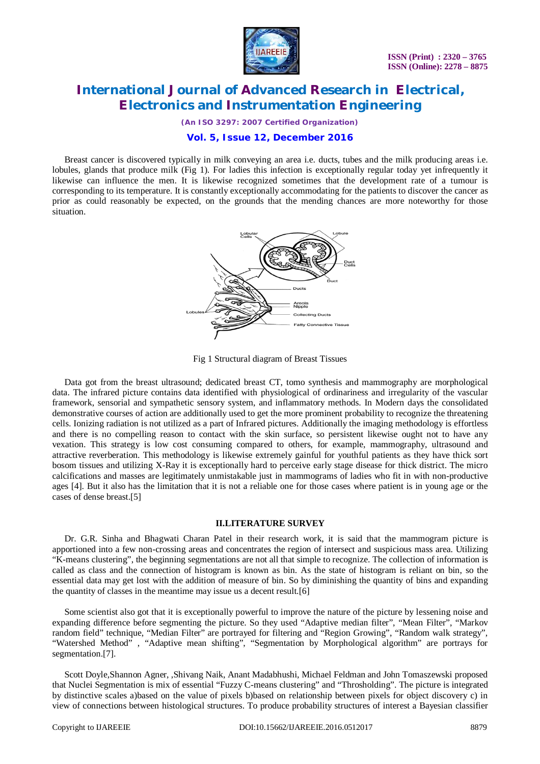

*(An ISO 3297: 2007 Certified Organization)*

## **Vol. 5, Issue 12, December 2016**

Breast cancer is discovered typically in milk conveying an area i.e. ducts, tubes and the milk producing areas i.e. lobules, glands that produce milk (Fig 1). For ladies this infection is exceptionally regular today yet infrequently it likewise can influence the men. It is likewise recognized sometimes that the development rate of a tumour is corresponding to its temperature. It is constantly exceptionally accommodating for the patients to discover the cancer as prior as could reasonably be expected, on the grounds that the mending chances are more noteworthy for those situation.



Fig 1 Structural diagram of Breast Tissues

Data got from the breast ultrasound; dedicated breast CT, tomo synthesis and mammography are morphological data. The infrared picture contains data identified with physiological of ordinariness and irregularity of the vascular framework, sensorial and sympathetic sensory system, and inflammatory methods. In Modern days the consolidated demonstrative courses of action are additionally used to get the more prominent probability to recognize the threatening cells. Ionizing radiation is not utilized as a part of Infrared pictures. Additionally the imaging methodology is effortless and there is no compelling reason to contact with the skin surface, so persistent likewise ought not to have any vexation. This strategy is low cost consuming compared to others, for example, mammography, ultrasound and attractive reverberation. This methodology is likewise extremely gainful for youthful patients as they have thick sort bosom tissues and utilizing X-Ray it is exceptionally hard to perceive early stage disease for thick district. The micro calcifications and masses are legitimately unmistakable just in mammograms of ladies who fit in with non-productive ages [4]. But it also has the limitation that it is not a reliable one for those cases where patient is in young age or the cases of dense breast.[5]

### **II.LITERATURE SURVEY**

Dr. G.R. Sinha and Bhagwati Charan Patel in their research work, it is said that the mammogram picture is apportioned into a few non-crossing areas and concentrates the region of intersect and suspicious mass area. Utilizing "K-means clustering", the beginning segmentations are not all that simple to recognize. The collection of information is called as class and the connection of histogram is known as bin. As the state of histogram is reliant on bin, so the essential data may get lost with the addition of measure of bin. So by diminishing the quantity of bins and expanding the quantity of classes in the meantime may issue us a decent result.[6]

Some scientist also got that it is exceptionally powerful to improve the nature of the picture by lessening noise and expanding difference before segmenting the picture. So they used "Adaptive median filter", "Mean Filter", "Markov random field" technique, "Median Filter" are portrayed for filtering and "Region Growing", "Random walk strategy", "Watershed Method" , "Adaptive mean shifting", "Segmentation by Morphological algorithm" are portrays for segmentation.[7].

Scott Doyle,Shannon Agner, ,Shivang Naik, Anant Madabhushi, Michael Feldman and John Tomaszewski proposed that Nuclei Segmentation is mix of essential "Fuzzy C-means clustering" and "Throsholding". The picture is integrated by distinctive scales a)based on the value of pixels b)based on relationship between pixels for object discovery c) in view of connections between histological structures. To produce probability structures of interest a Bayesian classifier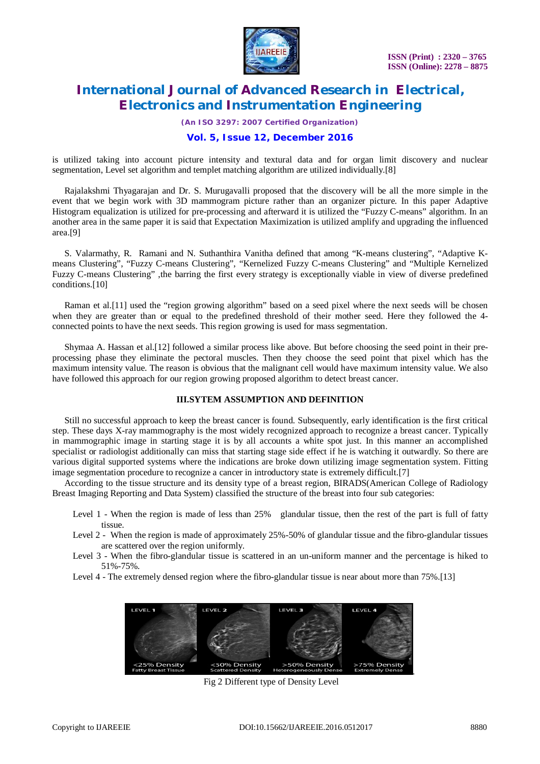

*(An ISO 3297: 2007 Certified Organization)*

# **Vol. 5, Issue 12, December 2016**

is utilized taking into account picture intensity and textural data and for organ limit discovery and nuclear segmentation, Level set algorithm and templet matching algorithm are utilized individually.[8]

Rajalakshmi Thyagarajan and Dr. S. Murugavalli proposed that the discovery will be all the more simple in the event that we begin work with 3D mammogram picture rather than an organizer picture. In this paper Adaptive Histogram equalization is utilized for pre-processing and afterward it is utilized the "Fuzzy C-means" algorithm. In an another area in the same paper it is said that Expectation Maximization is utilized amplify and upgrading the influenced area.[9]

S. Valarmathy, R. Ramani and N. Suthanthira Vanitha defined that among "K-means clustering", "Adaptive Kmeans Clustering", "Fuzzy C-means Clustering", "Kernelized Fuzzy C-means Clustering" and "Multiple Kernelized Fuzzy C-means Clustering" ,the barring the first every strategy is exceptionally viable in view of diverse predefined conditions.[10]

Raman et al.[11] used the "region growing algorithm" based on a seed pixel where the next seeds will be chosen when they are greater than or equal to the predefined threshold of their mother seed. Here they followed the 4 connected points to have the next seeds. This region growing is used for mass segmentation.

Shymaa A. Hassan et al.[12] followed a similar process like above. But before choosing the seed point in their preprocessing phase they eliminate the pectoral muscles. Then they choose the seed point that pixel which has the maximum intensity value. The reason is obvious that the malignant cell would have maximum intensity value. We also have followed this approach for our region growing proposed algorithm to detect breast cancer.

## **III.SYTEM ASSUMPTION AND DEFINITION**

Still no successful approach to keep the breast cancer is found. Subsequently, early identification is the first critical step. These days X-ray mammography is the most widely recognized approach to recognize a breast cancer. Typically in mammographic image in starting stage it is by all accounts a white spot just. In this manner an accomplished specialist or radiologist additionally can miss that starting stage side effect if he is watching it outwardly. So there are various digital supported systems where the indications are broke down utilizing image segmentation system. Fitting image segmentation procedure to recognize a cancer in introductory state is extremely difficult.[7]

According to the tissue structure and its density type of a breast region, BIRADS(American College of Radiology Breast Imaging Reporting and Data System) classified the structure of the breast into four sub categories:

- Level 1 When the region is made of less than 25% glandular tissue, then the rest of the part is full of fatty tissue.
- Level 2 When the region is made of approximately 25%-50% of glandular tissue and the fibro-glandular tissues are scattered over the region uniformly.
- Level 3 When the fibro-glandular tissue is scattered in an un-uniform manner and the percentage is hiked to 51%-75%.
- Level 4 The extremely densed region where the fibro-glandular tissue is near about more than 75%.[13]

| LEVEL 1                                    | LEVEL 2                                  | LEVEL 3                                      | LEVEL 4                                |
|--------------------------------------------|------------------------------------------|----------------------------------------------|----------------------------------------|
|                                            |                                          |                                              |                                        |
|                                            |                                          |                                              |                                        |
|                                            |                                          |                                              |                                        |
| <25% Density<br><b>Fatty Breast Tissue</b> | <50% Density<br><b>Scattered Density</b> | >50% Density<br><b>Heterogeneously Dense</b> | >75% Density<br><b>Extremely Dense</b> |

Fig 2 Different type of Density Level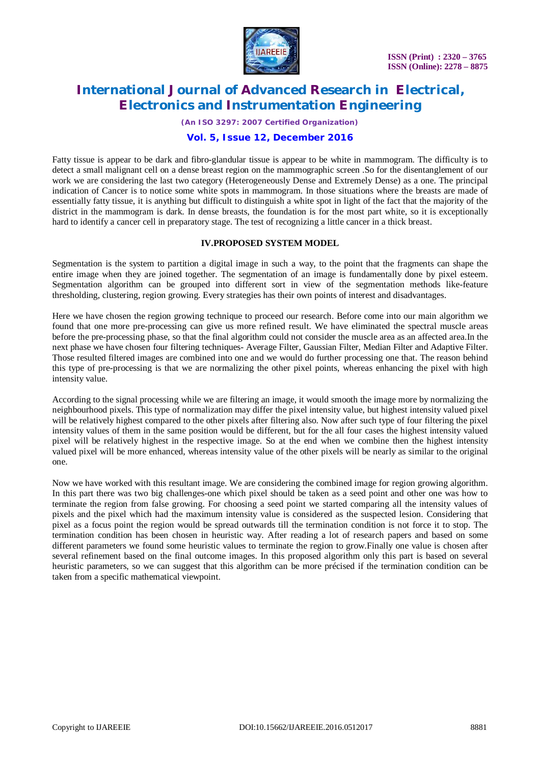

*(An ISO 3297: 2007 Certified Organization)*

# **Vol. 5, Issue 12, December 2016**

Fatty tissue is appear to be dark and fibro-glandular tissue is appear to be white in mammogram. The difficulty is to detect a small malignant cell on a dense breast region on the mammographic screen .So for the disentanglement of our work we are considering the last two category (Heterogeneously Dense and Extremely Dense) as a one. The principal indication of Cancer is to notice some white spots in mammogram. In those situations where the breasts are made of essentially fatty tissue, it is anything but difficult to distinguish a white spot in light of the fact that the majority of the district in the mammogram is dark. In dense breasts, the foundation is for the most part white, so it is exceptionally hard to identify a cancer cell in preparatory stage. The test of recognizing a little cancer in a thick breast.

## **IV.PROPOSED SYSTEM MODEL**

Segmentation is the system to partition a digital image in such a way, to the point that the fragments can shape the entire image when they are joined together. The segmentation of an image is fundamentally done by pixel esteem. Segmentation algorithm can be grouped into different sort in view of the segmentation methods like-feature thresholding, clustering, region growing. Every strategies has their own points of interest and disadvantages.

Here we have chosen the region growing technique to proceed our research. Before come into our main algorithm we found that one more pre-processing can give us more refined result. We have eliminated the spectral muscle areas before the pre-processing phase, so that the final algorithm could not consider the muscle area as an affected area.In the next phase we have chosen four filtering techniques- Average Filter, Gaussian Filter, Median Filter and Adaptive Filter. Those resulted filtered images are combined into one and we would do further processing one that. The reason behind this type of pre-processing is that we are normalizing the other pixel points, whereas enhancing the pixel with high intensity value.

According to the signal processing while we are filtering an image, it would smooth the image more by normalizing the neighbourhood pixels. This type of normalization may differ the pixel intensity value, but highest intensity valued pixel will be relatively highest compared to the other pixels after filtering also. Now after such type of four filtering the pixel intensity values of them in the same position would be different, but for the all four cases the highest intensity valued pixel will be relatively highest in the respective image. So at the end when we combine then the highest intensity valued pixel will be more enhanced, whereas intensity value of the other pixels will be nearly as similar to the original one.

Now we have worked with this resultant image. We are considering the combined image for region growing algorithm. In this part there was two big challenges-one which pixel should be taken as a seed point and other one was how to terminate the region from false growing. For choosing a seed point we started comparing all the intensity values of pixels and the pixel which had the maximum intensity value is considered as the suspected lesion. Considering that pixel as a focus point the region would be spread outwards till the termination condition is not force it to stop. The termination condition has been chosen in heuristic way. After reading a lot of research papers and based on some different parameters we found some heuristic values to terminate the region to grow.Finally one value is chosen after several refinement based on the final outcome images. In this proposed algorithm only this part is based on several heuristic parameters, so we can suggest that this algorithm can be more précised if the termination condition can be taken from a specific mathematical viewpoint.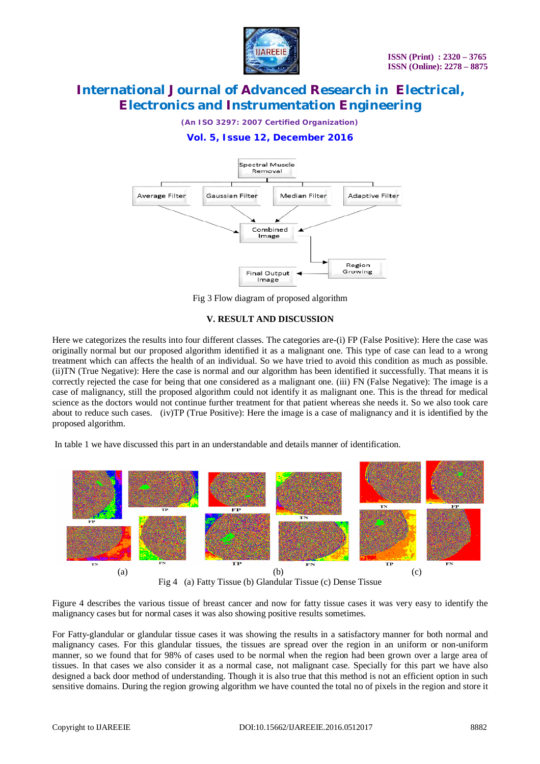

*(An ISO 3297: 2007 Certified Organization)*

# **Vol. 5, Issue 12, December 2016**



Fig 3 Flow diagram of proposed algorithm

## **V. RESULT AND DISCUSSION**

Here we categorizes the results into four different classes. The categories are-(i) FP (False Positive): Here the case was originally normal but our proposed algorithm identified it as a malignant one. This type of case can lead to a wrong treatment which can affects the health of an individual. So we have tried to avoid this condition as much as possible. (ii)TN (True Negative): Here the case is normal and our algorithm has been identified it successfully. That means it is correctly rejected the case for being that one considered as a malignant one. (iii) FN (False Negative): The image is a case of malignancy, still the proposed algorithm could not identify it as malignant one. This is the thread for medical science as the doctors would not continue further treatment for that patient whereas she needs it. So we also took care about to reduce such cases. (iv)TP (True Positive): Here the image is a case of malignancy and it is identified by the proposed algorithm.

In table 1 we have discussed this part in an understandable and details manner of identification.



Figure 4 describes the various tissue of breast cancer and now for fatty tissue cases it was very easy to identify the malignancy cases but for normal cases it was also showing positive results sometimes.

For Fatty-glandular or glandular tissue cases it was showing the results in a satisfactory manner for both normal and malignancy cases. For this glandular tissues, the tissues are spread over the region in an uniform or non-uniform manner, so we found that for 98% of cases used to be normal when the region had been grown over a large area of tissues. In that cases we also consider it as a normal case, not malignant case. Specially for this part we have also designed a back door method of understanding. Though it is also true that this method is not an efficient option in such sensitive domains. During the region growing algorithm we have counted the total no of pixels in the region and store it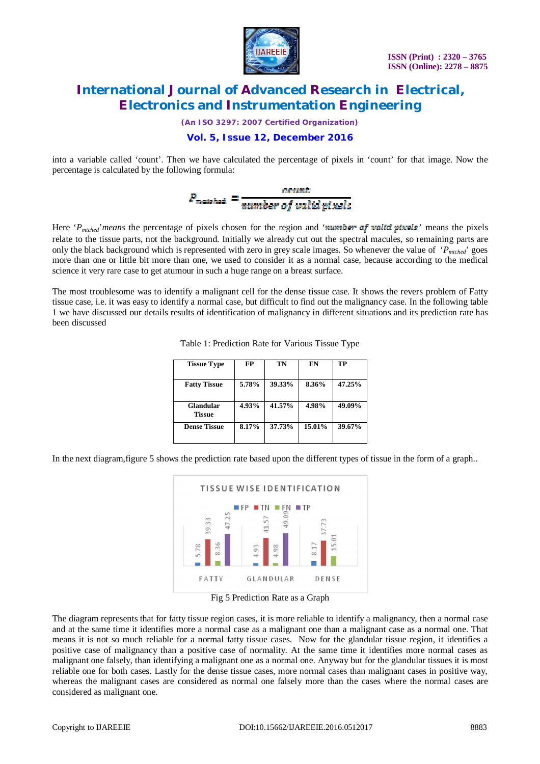

*(An ISO 3297: 2007 Certified Organization)*

# **Vol. 5, Issue 12, December 2016**

into a variable called 'count'. Then we have calculated the percentage of pixels in 'count' for that image. Now the percentage is calculated by the following formula:

# $P_{\text{matched}} = \frac{count}{number of valid pixels}$

Here 'P<sub>mtched</sub>' means the percentage of pixels chosen for the region and 'number of valid pixels' means the pixels relate to the tissue parts, not the background. Initially we already cut out the spectral macules, so remaining parts are only the black background which is represented with zero in grey scale images. So whenever the value of '*Pmtched*' goes more than one or little bit more than one, we used to consider it as a normal case, because according to the medical science it very rare case to get atumour in such a huge range on a breast surface.

The most troublesome was to identify a malignant cell for the dense tissue case. It shows the revers problem of Fatty tissue case, i.e. it was easy to identify a normal case, but difficult to find out the malignancy case. In the following table 1 we have discussed our details results of identification of malignancy in different situations and its prediction rate has been discussed

| <b>Tissue Type</b>         | FP    | TN     | FN     | TP     |
|----------------------------|-------|--------|--------|--------|
| <b>Fatty Tissue</b>        | 5.78% | 39.33% | 8.36%  | 47.25% |
| Glandular<br><b>Tissue</b> | 4.93% | 41.57% | 4.98%  | 49.09% |
| <b>Dense Tissue</b>        | 8.17% | 37.73% | 15.01% | 39.67% |

Table 1: Prediction Rate for Various Tissue Type

In the next diagram,figure 5 shows the prediction rate based upon the different types of tissue in the form of a graph..



Fig 5 Prediction Rate as a Graph

The diagram represents that for fatty tissue region cases, it is more reliable to identify a malignancy, then a normal case and at the same time it identifies more a normal case as a malignant one than a malignant case as a normal one. That means it is not so much reliable for a normal fatty tissue cases. Now for the glandular tissue region, it identifies a positive case of malignancy than a positive case of normality. At the same time it identifies more normal cases as malignant one falsely, than identifying a malignant one as a normal one. Anyway but for the glandular tissues it is most reliable one for both cases. Lastly for the dense tissue cases, more normal cases than malignant cases in positive way, whereas the malignant cases are considered as normal one falsely more than the cases where the normal cases are considered as malignant one.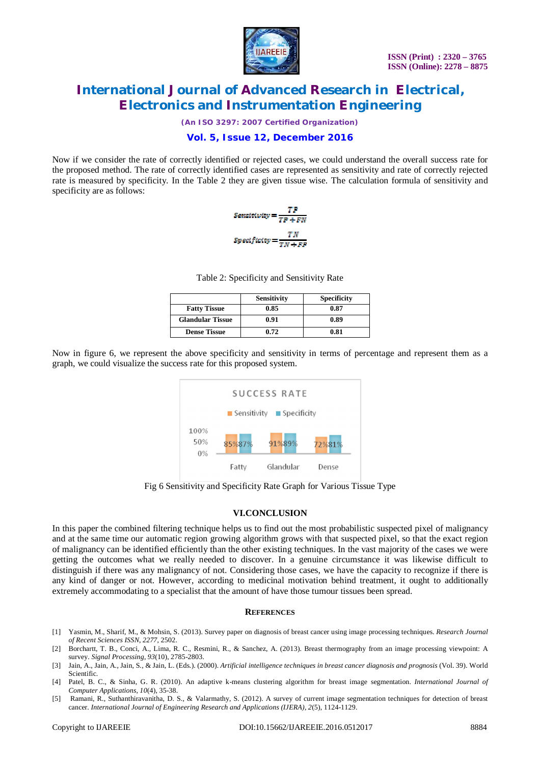

*(An ISO 3297: 2007 Certified Organization)*

# **Vol. 5, Issue 12, December 2016**

Now if we consider the rate of correctly identified or rejected cases, we could understand the overall success rate for the proposed method. The rate of correctly identified cases are represented as sensitivity and rate of correctly rejected rate is measured by specificity. In the Table 2 they are given tissue wise. The calculation formula of sensitivity and specificity are as follows:



Table 2: Specificity and Sensitivity Rate

|                         | <b>Sensitivity</b> | <b>Specificity</b> |
|-------------------------|--------------------|--------------------|
| <b>Fatty Tissue</b>     | 0.85               | 0.87               |
| <b>Glandular Tissue</b> | 0.91               | 0.89               |
| <b>Dense Tissue</b>     | 0.72               | 0.81               |

Now in figure 6, we represent the above specificity and sensitivity in terms of percentage and represent them as a graph, we could visualize the success rate for this proposed system.



Fig 6 Sensitivity and Specificity Rate Graph for Various Tissue Type

## **VI.CONCLUSION**

In this paper the combined filtering technique helps us to find out the most probabilistic suspected pixel of malignancy and at the same time our automatic region growing algorithm grows with that suspected pixel, so that the exact region of malignancy can be identified efficiently than the other existing techniques. In the vast majority of the cases we were getting the outcomes what we really needed to discover. In a genuine circumstance it was likewise difficult to distinguish if there was any malignancy of not. Considering those cases, we have the capacity to recognize if there is any kind of danger or not. However, according to medicinal motivation behind treatment, it ought to additionally extremely accommodating to a specialist that the amount of have those tumour tissues been spread.

### **REFERENCES**

- [1] Yasmin, M., Sharif, M., & Mohsin, S. (2013). Survey paper on diagnosis of breast cancer using image processing techniques. *Research Journal of Recent Sciences ISSN*, *2277*, 2502.
- [2] Borchartt, T. B., Conci, A., Lima, R. C., Resmini, R., & Sanchez, A. (2013). Breast thermography from an image processing viewpoint: A survey. *Signal Processing*, *93*(10), 2785-2803.
- [3] Jain, A., Jain, A., Jain, S., & Jain, L. (Eds.). (2000). *Artificial intelligence techniques in breast cancer diagnosis and prognosis* (Vol. 39). World Scientific.
- [4] Patel, B. C., & Sinha, G. R. (2010). An adaptive k-means clustering algorithm for breast image segmentation. *International Journal of Computer Applications*, *10*(4), 35-38.
- [5] Ramani, R., Suthanthiravanitha, D. S., & Valarmathy, S. (2012). A survey of current image segmentation techniques for detection of breast cancer. *International Journal of Engineering Research and Applications (IJERA)*, *2*(5), 1124-1129.